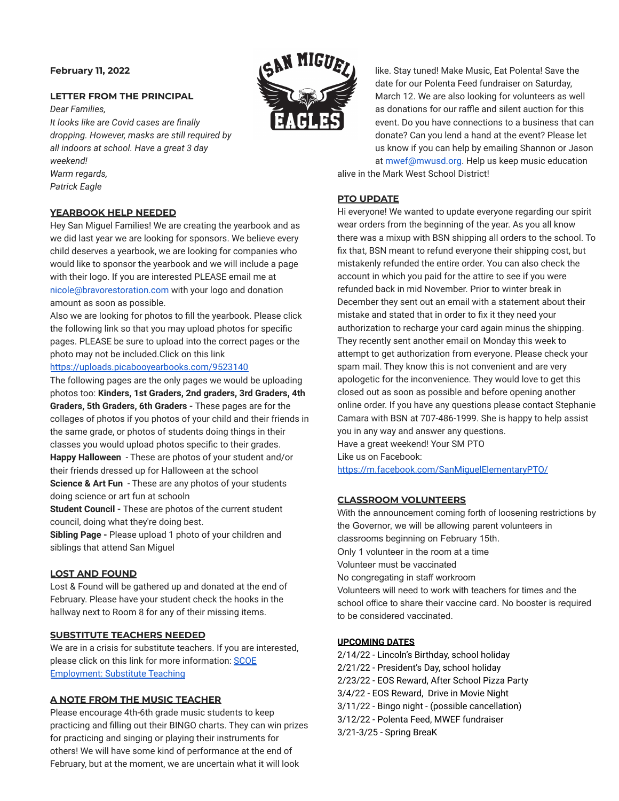# **February 11, 2022**

# **LETTER FROM THE PRINCIPAL**

*Dear Families, It looks like are Covid cases are finally dropping. However, masks are still required by all indoors at school. Have a great 3 day weekend! Warm regards, Patrick Eagle*



Hey San Miguel Families! We are creating the yearbook and as we did last year we are looking for sponsors. We believe every child deserves a yearbook, we are looking for companies who would like to sponsor the yearbook and we will include a page with their logo. If you are interested PLEASE email me at nicole@bravorestoration.com with your logo and donation amount as soon as possible.

Also we are looking for photos to fill the yearbook. Please click the following link so that you may upload photos for specific pages. PLEASE be sure to upload into the correct pages or the photo may not be included.Click on this link

### <https://uploads.picabooyearbooks.com/9523140>

The following pages are the only pages we would be uploading photos too: **Kinders, 1st Graders, 2nd graders, 3rd Graders, 4th Graders, 5th Graders, 6th Graders -** These pages are for the collages of photos if you photos of your child and their friends in the same grade, or photos of students doing things in their classes you would upload photos specific to their grades. **Happy Halloween** - These are photos of your student and/or

their friends dressed up for Halloween at the school **Science & Art Fun** - These are any photos of your students doing science or art fun at schooln

**Student Council -** These are photos of the current student council, doing what they're doing best.

**Sibling Page -** Please upload 1 photo of your children and siblings that attend San Miguel

### **LOST AND FOUND**

Lost & Found will be gathered up and donated at the end of February. Please have your student check the hooks in the hallway next to Room 8 for any of their missing items.

# **SUBSTITUTE TEACHERS NEEDED**

We are in a crisis for substitute teachers. If you are interested, please click on this link for more information: [SCOE](https://www.scoe.org/pub/htdocs/substitute.html#:~:text=Substitute%20application%20packets%20are%20accepted,org%20to%20schedule%20an%20appointment.) [Employment: Substitute Teaching](https://www.scoe.org/pub/htdocs/substitute.html#:~:text=Substitute%20application%20packets%20are%20accepted,org%20to%20schedule%20an%20appointment.)

## **A NOTE FROM THE MUSIC TEACHER**

Please encourage 4th-6th grade music students to keep practicing and filling out their BINGO charts. They can win prizes for practicing and singing or playing their instruments for others! We will have some kind of performance at the end of February, but at the moment, we are uncertain what it will look



like. Stay tuned! Make Music, Eat Polenta! Save the date for our Polenta Feed fundraiser on Saturday, March 12. We are also looking for volunteers as well as donations for our raffle and silent auction for this event. Do you have connections to a business that can donate? Can you lend a hand at the event? Please let us know if you can help by emailing Shannon or Jason at mwef@mwusd.org. Help us keep music education alive in the Mark West School District!

# **PTO UPDATE**

Hi everyone! We wanted to update everyone regarding our spirit wear orders from the beginning of the year. As you all know there was a mixup with BSN shipping all orders to the school. To fix that, BSN meant to refund everyone their shipping cost, but mistakenly refunded the entire order. You can also check the account in which you paid for the attire to see if you were refunded back in mid November. Prior to winter break in December they sent out an email with a statement about their mistake and stated that in order to fix it they need your authorization to recharge your card again minus the shipping. They recently sent another email on Monday this week to attempt to get authorization from everyone. Please check your spam mail. They know this is not convenient and are very apologetic for the inconvenience. They would love to get this closed out as soon as possible and before opening another online order. If you have any questions please contact Stephanie Camara with BSN at 707-486-1999. She is happy to help assist you in any way and answer any questions. Have a great weekend! Your SM PTO Like us on Facebook: <https://m.facebook.com/SanMiguelElementaryPTO/>

## **CLASSROOM VOLUNTEERS**

With the announcement coming forth of loosening restrictions by the Governor, we will be allowing parent volunteers in classrooms beginning on February 15th. Only 1 volunteer in the room at a time Volunteer must be vaccinated No congregating in staff workroom Volunteers will need to work with teachers for times and the school office to share their vaccine card. No booster is required to be considered vaccinated.

# **UPCOMING DATES**

2/14/22 - Lincoln's Birthday, school holiday 2/21/22 - President's Day, school holiday 2/23/22 - EOS Reward, After School Pizza Party 3/4/22 - EOS Reward, Drive in Movie Night 3/11/22 - Bingo night - (possible cancellation) 3/12/22 - Polenta Feed, MWEF fundraiser 3/21-3/25 - Spring BreaK